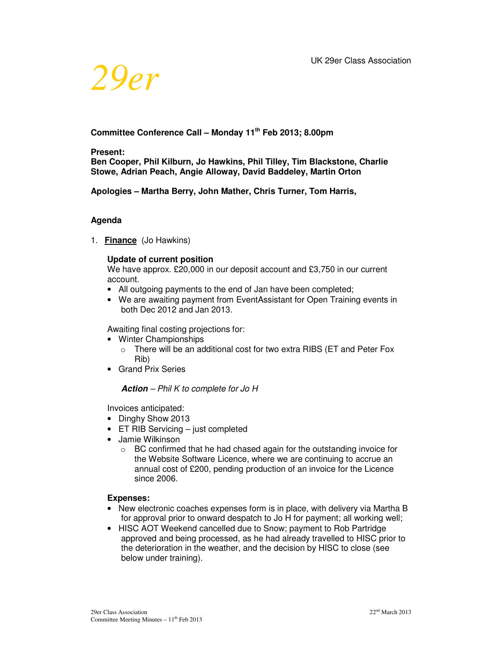

# **Committee Conference Call – Monday 11th Feb 2013; 8.00pm**

#### **Present:**

**Ben Cooper, Phil Kilburn, Jo Hawkins, Phil Tilley, Tim Blackstone, Charlie Stowe, Adrian Peach, Angie Alloway, David Baddeley, Martin Orton** 

**Apologies – Martha Berry, John Mather, Chris Turner, Tom Harris,** 

#### **Agenda**

1. **Finance** (Jo Hawkins)

#### **Update of current position**

We have approx. £20,000 in our deposit account and £3,750 in our current account.

- All outgoing payments to the end of Jan have been completed;
- We are awaiting payment from EventAssistant for Open Training events in both Dec 2012 and Jan 2013.

Awaiting final costing projections for:

- Winter Championships
	- $\circ$  There will be an additional cost for two extra RIBS (ET and Peter Fox Rib)
- Grand Prix Series

#### **Action** *– Phil K to complete for Jo H*

Invoices anticipated:

- Dinghy Show 2013
- ET RIB Servicing just completed
- Jamie Wilkinson
	- o BC confirmed that he had chased again for the outstanding invoice for the Website Software Licence, where we are continuing to accrue an annual cost of £200, pending production of an invoice for the Licence since 2006.

#### **Expenses:**

- New electronic coaches expenses form is in place, with delivery via Martha B for approval prior to onward despatch to Jo H for payment; all working well;
- HISC AOT Weekend cancelled due to Snow; payment to Rob Partridge approved and being processed, as he had already travelled to HISC prior to the deterioration in the weather, and the decision by HISC to close (see below under training).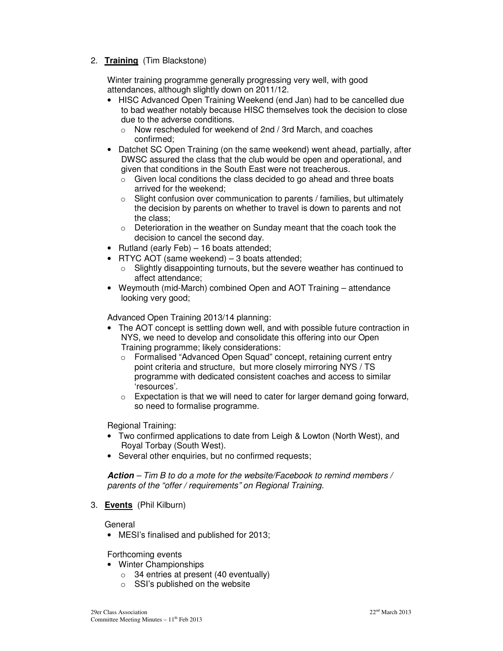# 2. **Training** (Tim Blackstone)

Winter training programme generally progressing very well, with good attendances, although slightly down on 2011/12.

- HISC Advanced Open Training Weekend (end Jan) had to be cancelled due to bad weather notably because HISC themselves took the decision to close due to the adverse conditions.
	- o Now rescheduled for weekend of 2nd / 3rd March, and coaches confirmed;
- Datchet SC Open Training (on the same weekend) went ahead, partially, after DWSC assured the class that the club would be open and operational, and given that conditions in the South East were not treacherous.
	- $\circ$  Given local conditions the class decided to go ahead and three boats arrived for the weekend;
	- $\circ$  Slight confusion over communication to parents / families, but ultimately the decision by parents on whether to travel is down to parents and not the class;
	- o Deterioration in the weather on Sunday meant that the coach took the decision to cancel the second day.
- Rutland (early Feb) 16 boats attended;
- RTYC AOT (same weekend) 3 boats attended;
	- o Slightly disappointing turnouts, but the severe weather has continued to affect attendance;
- Weymouth (mid-March) combined Open and AOT Training attendance looking very good;

Advanced Open Training 2013/14 planning:

- The AOT concept is settling down well, and with possible future contraction in NYS, we need to develop and consolidate this offering into our Open Training programme; likely considerations:
	- o Formalised "Advanced Open Squad" concept, retaining current entry point criteria and structure, but more closely mirroring NYS / TS programme with dedicated consistent coaches and access to similar 'resources'.
	- $\circ$  Expectation is that we will need to cater for larger demand going forward, so need to formalise programme.

Regional Training:

- Two confirmed applications to date from Leigh & Lowton (North West), and Royal Torbay (South West).
- Several other enquiries, but no confirmed requests;

**Action** *– Tim B to do a mote for the website/Facebook to remind members / parents of the "offer / requirements" on Regional Training.* 

3. **Events** (Phil Kilburn)

General

• MESI's finalised and published for 2013;

Forthcoming events

- Winter Championships
	- $\circ$  34 entries at present (40 eventually)
	- o SSI's published on the website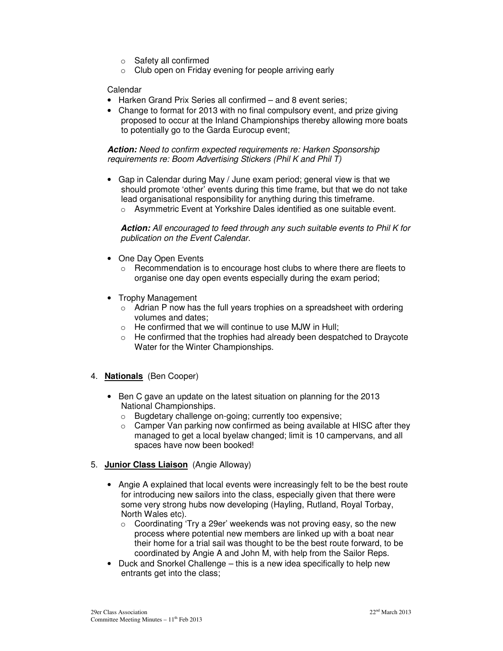- o Safety all confirmed
- $\circ$  Club open on Friday evening for people arriving early

#### Calendar

- Harken Grand Prix Series all confirmed and 8 event series;
- Change to format for 2013 with no final compulsory event, and prize giving proposed to occur at the Inland Championships thereby allowing more boats to potentially go to the Garda Eurocup event;

**Action:** *Need to confirm expected requirements re: Harken Sponsorship requirements re: Boom Advertising Stickers (Phil K and Phil T)* 

• Gap in Calendar during May / June exam period; general view is that we should promote 'other' events during this time frame, but that we do not take lead organisational responsibility for anything during this timeframe. o Asymmetric Event at Yorkshire Dales identified as one suitable event.

**Action:** *All encouraged to feed through any such suitable events to Phil K for publication on the Event Calendar.* 

- One Day Open Events
	- $\circ$  Recommendation is to encourage host clubs to where there are fleets to organise one day open events especially during the exam period;
- Trophy Management
	- $\circ$  Adrian P now has the full years trophies on a spreadsheet with ordering volumes and dates;
	- $\circ$  He confirmed that we will continue to use MJW in Hull;
	- $\circ$  He confirmed that the trophies had already been despatched to Draycote Water for the Winter Championships.
- 4. **Nationals** (Ben Cooper)
	- Ben C gave an update on the latest situation on planning for the 2013 National Championships.
		- o Bugdetary challenge on-going; currently too expensive;
		- $\circ$  Camper Van parking now confirmed as being available at HISC after they managed to get a local byelaw changed; limit is 10 campervans, and all spaces have now been booked!
- 5. **Junior Class Liaison** (Angie Alloway)
	- Angie A explained that local events were increasingly felt to be the best route for introducing new sailors into the class, especially given that there were some very strong hubs now developing (Hayling, Rutland, Royal Torbay, North Wales etc).
		- o Coordinating 'Try a 29er' weekends was not proving easy, so the new process where potential new members are linked up with a boat near their home for a trial sail was thought to be the best route forward, to be coordinated by Angie A and John M, with help from the Sailor Reps.
	- Duck and Snorkel Challenge this is a new idea specifically to help new entrants get into the class;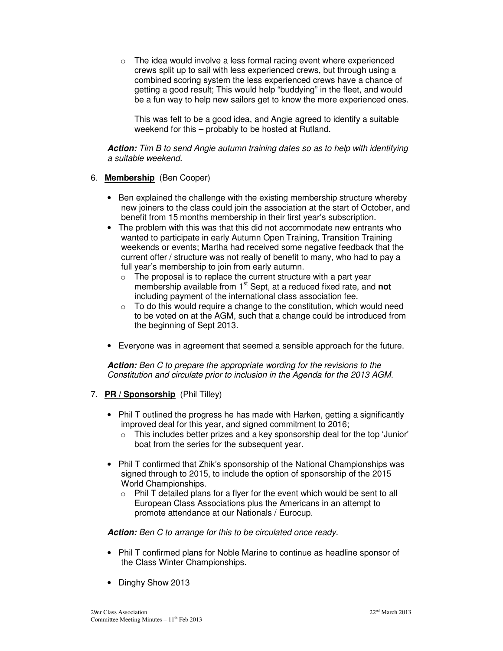$\circ$  The idea would involve a less formal racing event where experienced crews split up to sail with less experienced crews, but through using a combined scoring system the less experienced crews have a chance of getting a good result; This would help "buddying" in the fleet, and would be a fun way to help new sailors get to know the more experienced ones.

This was felt to be a good idea, and Angie agreed to identify a suitable weekend for this – probably to be hosted at Rutland.

**Action:** *Tim B to send Angie autumn training dates so as to help with identifying a suitable weekend.* 

#### 6. **Membership** (Ben Cooper)

- Ben explained the challenge with the existing membership structure whereby new joiners to the class could join the association at the start of October, and benefit from 15 months membership in their first year's subscription.
- The problem with this was that this did not accommodate new entrants who wanted to participate in early Autumn Open Training, Transition Training weekends or events; Martha had received some negative feedback that the current offer / structure was not really of benefit to many, who had to pay a full year's membership to join from early autumn.
	- $\circ$  The proposal is to replace the current structure with a part year membership available from 1st Sept, at a reduced fixed rate, and **not** including payment of the international class association fee.
	- $\circ$  To do this would require a change to the constitution, which would need to be voted on at the AGM, such that a change could be introduced from the beginning of Sept 2013.
- Everyone was in agreement that seemed a sensible approach for the future.

**Action:** *Ben C to prepare the appropriate wording for the revisions to the Constitution and circulate prior to inclusion in the Agenda for the 2013 AGM.* 

- 7. **PR / Sponsorship** (Phil Tilley)
	- Phil T outlined the progress he has made with Harken, getting a significantly improved deal for this year, and signed commitment to 2016;
		- $\circ$  This includes better prizes and a key sponsorship deal for the top 'Junior' boat from the series for the subsequent year.
	- Phil T confirmed that Zhik's sponsorship of the National Championships was signed through to 2015, to include the option of sponsorship of the 2015 World Championships.
		- $\circ$  Phil T detailed plans for a flyer for the event which would be sent to all European Class Associations plus the Americans in an attempt to promote attendance at our Nationals / Eurocup.

#### **Action:** *Ben C to arrange for this to be circulated once ready.*

- Phil T confirmed plans for Noble Marine to continue as headline sponsor of the Class Winter Championships.
- Dinghy Show 2013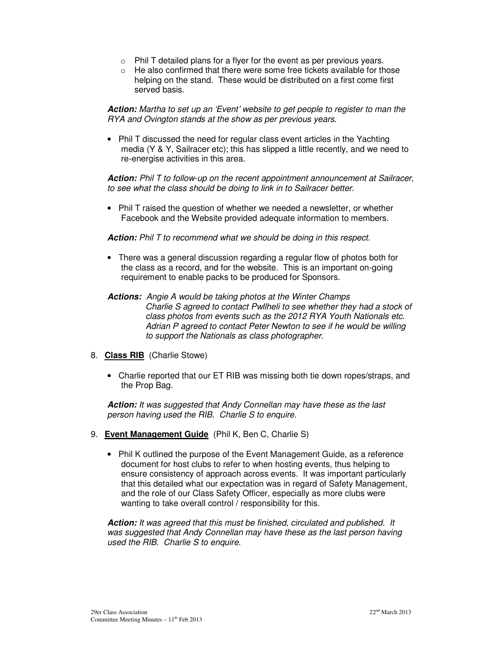- o Phil T detailed plans for a flyer for the event as per previous years.
- o He also confirmed that there were some free tickets available for those helping on the stand. These would be distributed on a first come first served basis.

**Action:** *Martha to set up an 'Event' website to get people to register to man the RYA and Ovington stands at the show as per previous years.*

• Phil T discussed the need for regular class event articles in the Yachting media (Y & Y, Sailracer etc); this has slipped a little recently, and we need to re-energise activities in this area.

**Action:** *Phil T to follow-up on the recent appointment announcement at Sailracer, to see what the class should be doing to link in to Sailracer better.* 

• Phil T raised the question of whether we needed a newsletter, or whether Facebook and the Website provided adequate information to members.

**Action:** *Phil T to recommend what we should be doing in this respect.* 

- There was a general discussion regarding a regular flow of photos both for the class as a record, and for the website. This is an important on-going requirement to enable packs to be produced for Sponsors.
- **Actions:** *Angie A would be taking photos at the Winter Champs Charlie S agreed to contact Pwllheli to see whether they had a stock of class photos from events such as the 2012 RYA Youth Nationals etc. Adrian P agreed to contact Peter Newton to see if he would be willing to support the Nationals as class photographer.*
- 8. **Class RIB** (Charlie Stowe)
	- Charlie reported that our ET RIB was missing both tie down ropes/straps, and the Prop Bag.

**Action:** *It was suggested that Andy Connellan may have these as the last person having used the RIB. Charlie S to enquire.* 

- 9. **Event Management Guide** (Phil K, Ben C, Charlie S)
	- Phil K outlined the purpose of the Event Management Guide, as a reference document for host clubs to refer to when hosting events, thus helping to ensure consistency of approach across events. It was important particularly that this detailed what our expectation was in regard of Safety Management, and the role of our Class Safety Officer, especially as more clubs were wanting to take overall control / responsibility for this.

**Action:** *It was agreed that this must be finished, circulated and published. It was suggested that Andy Connellan may have these as the last person having used the RIB. Charlie S to enquire.*